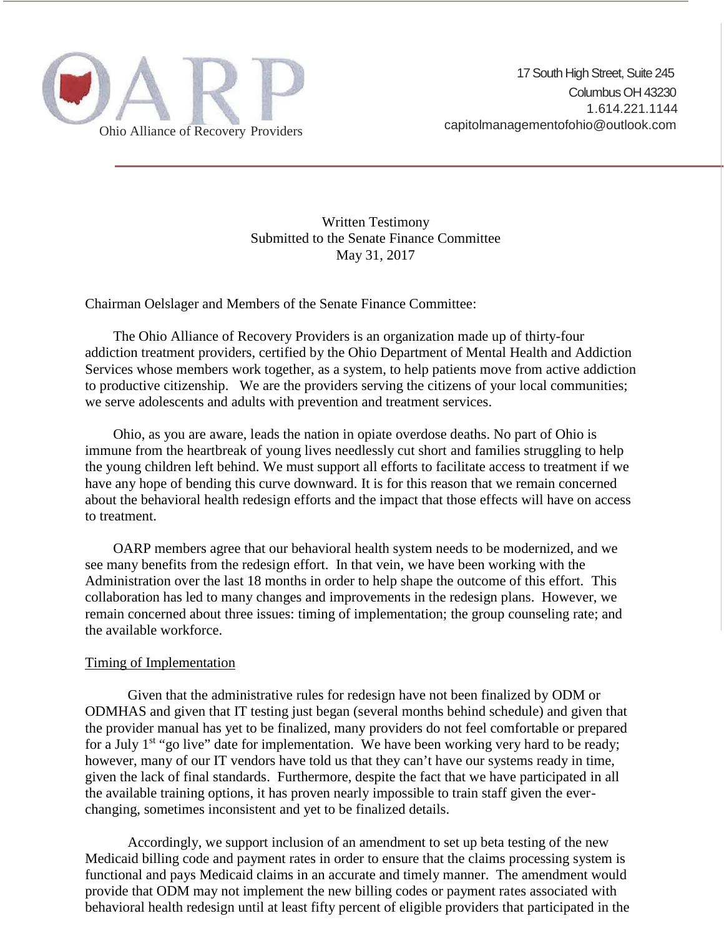

Written Testimony Submitted to the Senate Finance Committee May 31, 2017

Chairman Oelslager and Members of the Senate Finance Committee:

The Ohio Alliance of Recovery Providers is an organization made up of thirty-four addiction treatment providers, certified by the Ohio Department of Mental Health and Addiction Services whose members work together, as a system, to help patients move from active addiction to productive citizenship. We are the providers serving the citizens of your local communities; we serve adolescents and adults with prevention and treatment services.

Ohio, as you are aware, leads the nation in opiate overdose deaths. No part of Ohio is immune from the heartbreak of young lives needlessly cut short and families struggling to help the young children left behind. We must support all efforts to facilitate access to treatment if we have any hope of bending this curve downward. It is for this reason that we remain concerned about the behavioral health redesign efforts and the impact that those effects will have on access to treatment.

OARP members agree that our behavioral health system needs to be modernized, and we see many benefits from the redesign effort. In that vein, we have been working with the Administration over the last 18 months in order to help shape the outcome of this effort. This collaboration has led to many changes and improvements in the redesign plans. However, we remain concerned about three issues: timing of implementation; the group counseling rate; and the available workforce.

## Timing of Implementation

Given that the administrative rules for redesign have not been finalized by ODM or ODMHAS and given that IT testing just began (several months behind schedule) and given that the provider manual has yet to be finalized, many providers do not feel comfortable or prepared for a July  $1<sup>st</sup>$  "go live" date for implementation. We have been working very hard to be ready; however, many of our IT vendors have told us that they can't have our systems ready in time, given the lack of final standards. Furthermore, despite the fact that we have participated in all the available training options, it has proven nearly impossible to train staff given the ever changing, sometimes inconsistent and yet to be finalized details.

Accordingly, we support inclusion of an amendment to set up beta testing of the new Medicaid billing code and payment rates in order to ensure that the claims processing system is functional and pays Medicaid claims in an accurate and timely manner. The amendment would provide that ODM may not implement the new billing codes or payment rates associated with behavioral health redesign until at least fifty percent of eligible providers that participated in the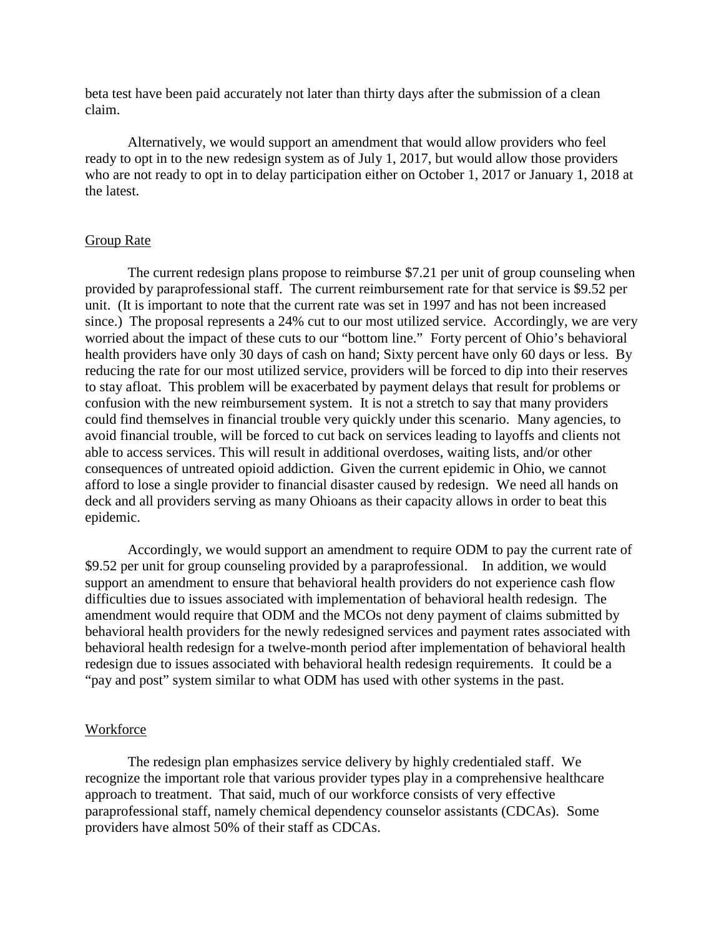beta test have been paid accurately not later than thirty days after the submission of a clean claim.

Alternatively, we would support an amendment that would allow providers who feel ready to opt in to the new redesign system as of July 1, 2017, but would allow those providers who are not ready to opt in to delay participation either on October 1, 2017 or January 1, 2018 at the latest.

## Group Rate

The current redesign plans propose to reimburse \$7.21 per unit of group counseling when provided by paraprofessional staff. The current reimbursement rate for that service is \$9.52 per unit. (It is important to note that the current rate was set in 1997 and has not been increased since.) The proposal represents a 24% cut to our most utilized service. Accordingly, we are very worried about the impact of these cuts to our "bottom line." Forty percent of Ohio's behavioral health providers have only 30 days of cash on hand; Sixty percent have only 60 days or less. By reducing the rate for our most utilized service, providers will be forced to dip into their reserves to stay afloat. This problem will be exacerbated by payment delays that result for problems or confusion with the new reimbursement system. It is not a stretch to say that many providers could find themselves in financial trouble very quickly under this scenario. Many agencies, to avoid financial trouble, will be forced to cut back on services leading to layoffs and clients not able to access services. This will result in additional overdoses, waiting lists, and/or other consequences of untreated opioid addiction. Given the current epidemic in Ohio, we cannot afford to lose a single provider to financial disaster caused by redesign. We need all hands on deck and all providers serving as many Ohioans as their capacity allows in order to beat this epidemic.

Accordingly, we would support an amendment to require ODM to pay the current rate of \$9.52 per unit for group counseling provided by a paraprofessional. In addition, we would support an amendment to ensure that behavioral health providers do not experience cash flow difficulties due to issues associated with implementation of behavioral health redesign. The amendment would require that ODM and the MCOs not deny payment of claims submitted by behavioral health providers for the newly redesigned services and payment rates associated with behavioral health redesign for a twelve-month period after implementation of behavioral health redesign due to issues associated with behavioral health redesign requirements. It could be a "pay and post" system similar to what ODM has used with other systems in the past.

## Workforce

The redesign plan emphasizes service delivery by highly credentialed staff. We recognize the important role that various provider types play in a comprehensive healthcare approach to treatment. That said, much of our workforce consists of very effective paraprofessional staff, namely chemical dependency counselor assistants (CDCAs). Some providers have almost 50% of their staff as CDCAs.